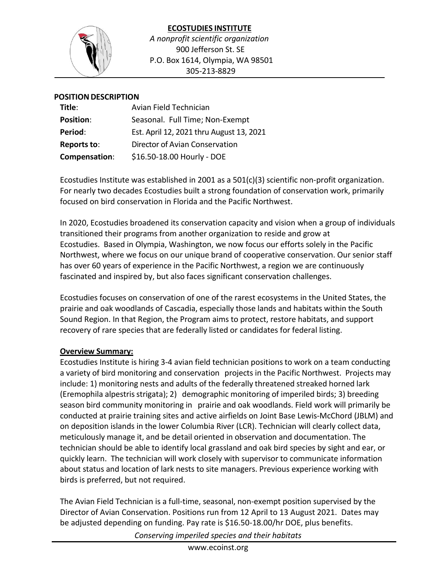

## **ECOSTUDIES INSTITUTE** *A nonprofit scientific organization* 900 Jefferson St. SE P.O. Box 1614, Olympia, WA 98501 305-213-8829

#### **POSITION DESCRIPTION**

| Title:           | Avian Field Technician                   |
|------------------|------------------------------------------|
| <b>Position:</b> | Seasonal. Full Time; Non-Exempt          |
| Period:          | Est. April 12, 2021 thru August 13, 2021 |
| Reports to:      | Director of Avian Conservation           |
| Compensation:    | \$16.50-18.00 Hourly - DOE               |

Ecostudies Institute was established in 2001 as a 501(c)(3) scientific non-profit organization. For nearly two decades Ecostudies built a strong foundation of conservation work, primarily focused on bird conservation in Florida and the Pacific Northwest.

In 2020, Ecostudies broadened its conservation capacity and vision when a group of individuals transitioned their programs from another organization to reside and grow at Ecostudies. Based in Olympia, Washington, we now focus our efforts solely in the Pacific Northwest, where we focus on our unique brand of cooperative conservation. Our senior staff has over 60 years of experience in the Pacific Northwest, a region we are continuously fascinated and inspired by, but also faces significant conservation challenges.

Ecostudies focuses on conservation of one of the rarest ecosystems in the United States, the prairie and oak woodlands of Cascadia, especially those lands and habitats within the South Sound Region. In that Region, the Program aims to protect, restore habitats, and support recovery of rare species that are federally listed or candidates for federal listing.

#### **Overview Summary:**

Ecostudies Institute is hiring 3-4 avian field technician positions to work on a team conducting a variety of bird monitoring and conservation projects in the Pacific Northwest. Projects may include: 1) monitoring nests and adults of the federally threatened streaked horned lark (Eremophila alpestrisstrigata); 2) demographic monitoring of imperiled birds; 3) breeding season bird community monitoring in prairie and oak woodlands. Field work will primarily be conducted at prairie training sites and active airfields on Joint Base Lewis-McChord (JBLM) and on deposition islands in the lower Columbia River (LCR). Technician will clearly collect data, meticulously manage it, and be detail oriented in observation and documentation. The technician should be able to identify local grassland and oak bird species by sight and ear, or quickly learn. The technician will work closely with supervisor to communicate information about status and location of lark nests to site managers. Previous experience working with birds is preferred, but not required.

The Avian Field Technician is a full-time, seasonal, non-exempt position supervised by the Director of Avian Conservation. Positions run from 12 April to 13 August 2021. Dates may be adjusted depending on funding. Pay rate is \$16.50-18.00/hr DOE, plus benefits.

*Conserving imperiled species and their habitats*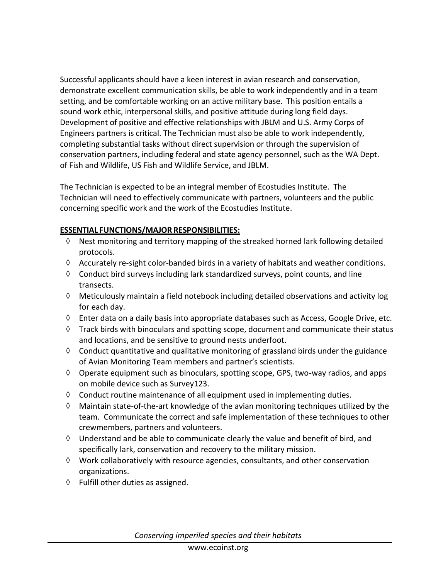Successful applicants should have a keen interest in avian research and conservation, demonstrate excellent communication skills, be able to work independently and in a team setting, and be comfortable working on an active military base. This position entails a sound work ethic, interpersonal skills, and positive attitude during long field days. Development of positive and effective relationships with JBLM and U.S. Army Corps of Engineers partners is critical. The Technician must also be able to work independently, completing substantial tasks without direct supervision or through the supervision of conservation partners, including federal and state agency personnel, such as the WA Dept. of Fish and Wildlife, US Fish and Wildlife Service, and JBLM.

The Technician is expected to be an integral member of Ecostudies Institute. The Technician will need to effectively communicate with partners, volunteers and the public concerning specific work and the work of the Ecostudies Institute.

# **ESSENTIAL FUNCTIONS/MAJOR RESPONSIBILITIES:**

- $\Diamond$  Nest monitoring and territory mapping of the streaked horned lark following detailed protocols.
- $\Diamond$  Accurately re-sight color-banded birds in a variety of habitats and weather conditions.
- $\Diamond$  Conduct bird surveys including lark standardized surveys, point counts, and line transects.
- $\Diamond$  Meticulously maintain a field notebook including detailed observations and activity log for each day.
- Enter data on a daily basis into appropriate databases such as Access, Google Drive, etc.
- $\Diamond$  Track birds with binoculars and spotting scope, document and communicate their status and locations, and be sensitive to ground nests underfoot.
- $\Diamond$  Conduct quantitative and qualitative monitoring of grassland birds under the guidance of Avian Monitoring Team members and partner's scientists.
- $\Diamond$  Operate equipment such as binoculars, spotting scope, GPS, two-way radios, and apps on mobile device such as Survey123.
- $\Diamond$  Conduct routine maintenance of all equipment used in implementing duties.
- $\Diamond$  Maintain state-of-the-art knowledge of the avian monitoring techniques utilized by the team. Communicate the correct and safe implementation of these techniques to other crewmembers, partners and volunteers.
- $\Diamond$  Understand and be able to communicate clearly the value and benefit of bird, and specifically lark, conservation and recovery to the military mission.
- $\Diamond$  Work collaboratively with resource agencies, consultants, and other conservation organizations.
- $\Diamond$  Fulfill other duties as assigned.

*Conserving imperiled species and their habitats*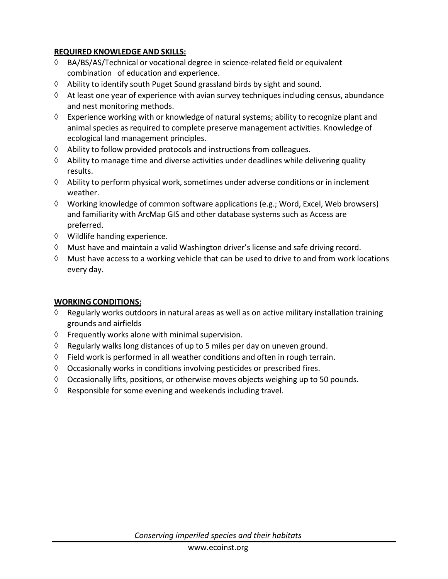# **REQUIRED KNOWLEDGE AND SKILLS:**

- BA/BS/AS/Technical or vocational degree in science-related field or equivalent combination of education and experience.
- $\Diamond$  Ability to identify south Puget Sound grassland birds by sight and sound.
- $\Diamond$  At least one year of experience with avian survey techniques including census, abundance and nest monitoring methods.
- $\Diamond$  Experience working with or knowledge of natural systems; ability to recognize plant and animal species as required to complete preserve management activities. Knowledge of ecological land management principles.
- $\Diamond$  Ability to follow provided protocols and instructions from colleagues.
- $\Diamond$  Ability to manage time and diverse activities under deadlines while delivering quality results.
- $\Diamond$  Ability to perform physical work, sometimes under adverse conditions or in inclement weather.
- $\Diamond$  Working knowledge of common software applications (e.g.; Word, Excel, Web browsers) and familiarity with ArcMap GIS and other database systems such as Access are preferred.
- $\Diamond$  Wildlife handing experience.
- $\Diamond$  Must have and maintain a valid Washington driver's license and safe driving record.
- $\Diamond$  Must have access to a working vehicle that can be used to drive to and from work locations every day.

### **WORKING CONDITIONS:**

- $\Diamond$  Regularly works outdoors in natural areas as well as on active military installation training grounds and airfields
- $\Diamond$  Frequently works alone with minimal supervision.
- $\Diamond$  Regularly walks long distances of up to 5 miles per day on uneven ground.
- $\Diamond$  Field work is performed in all weather conditions and often in rough terrain.
- $\Diamond$  Occasionally works in conditions involving pesticides or prescribed fires.
- $\Diamond$  Occasionally lifts, positions, or otherwise moves objects weighing up to 50 pounds.
- $\Diamond$  Responsible for some evening and weekends including travel.